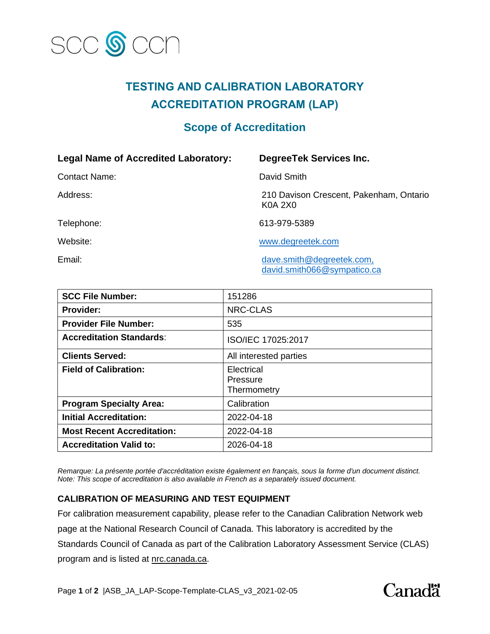

## **TESTING AND CALIBRATION LABORATORY ACCREDITATION PROGRAM (LAP)**

## **Scope of Accreditation**

| <b>Legal Name of Accredited Laboratory:</b> | <b>DegreeTek Services Inc.</b>                            |
|---------------------------------------------|-----------------------------------------------------------|
| <b>Contact Name:</b>                        | David Smith                                               |
| Address:                                    | 210 Davison Crescent, Pakenham, Ontario<br><b>K0A 2X0</b> |
| Telephone:                                  | 613-979-5389                                              |
| Website:                                    | www.degreetek.com                                         |
| Email:                                      | dave.smith@degreetek.com,<br>david.smith066@sympatico.ca  |

| <b>SCC File Number:</b>           | 151286                                |
|-----------------------------------|---------------------------------------|
| <b>Provider:</b>                  | <b>NRC-CLAS</b>                       |
| <b>Provider File Number:</b>      | 535                                   |
| <b>Accreditation Standards:</b>   | ISO/IEC 17025:2017                    |
| <b>Clients Served:</b>            | All interested parties                |
| <b>Field of Calibration:</b>      | Electrical<br>Pressure<br>Thermometry |
| <b>Program Specialty Area:</b>    | Calibration                           |
| <b>Initial Accreditation:</b>     | 2022-04-18                            |
| <b>Most Recent Accreditation:</b> | 2022-04-18                            |
| <b>Accreditation Valid to:</b>    | 2026-04-18                            |

*Remarque: La présente portée d'accréditation existe également en français, sous la forme d'un document distinct. Note: This scope of accreditation is also available in French as a separately issued document.* 

## **CALIBRATION OF MEASURING AND TEST EQUIPMENT**

For calibration measurement capability, please refer to the Canadian Calibration Network web page at the National Research Council of Canada. This laboratory is accredited by the Standards Council of Canada as part of the Calibration Laboratory Assessment Service (CLAS) program and is listed at [nrc.canada.ca.](https://nrc.canada.ca/en/certifications-evaluations-standards/calibration-laboratory-assessment-service/directory-accredited-calibration-laboratories)